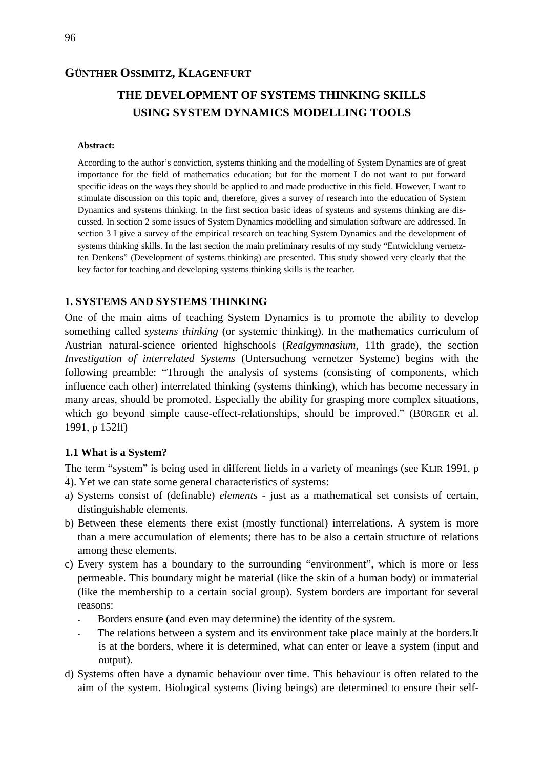## **GÜNTHER OSSIMITZ, KLAGENFURT**

# **THE DEVELOPMENT OF SYSTEMS THINKING SKILLS USING SYSTEM DYNAMICS MODELLING TOOLS**

#### **Abstract:**

According to the author's conviction, systems thinking and the modelling of System Dynamics are of great importance for the field of mathematics education; but for the moment I do not want to put forward specific ideas on the ways they should be applied to and made productive in this field. However, I want to stimulate discussion on this topic and, therefore, gives a survey of research into the education of System Dynamics and systems thinking. In the first section basic ideas of systems and systems thinking are discussed. In section 2 some issues of System Dynamics modelling and simulation software are addressed. In section 3 I give a survey of the empirical research on teaching System Dynamics and the development of systems thinking skills. In the last section the main preliminary results of my study "Entwicklung vernetzten Denkens" (Development of systems thinking) are presented. This study showed very clearly that the key factor for teaching and developing systems thinking skills is the teacher.

## **1. SYSTEMS AND SYSTEMS THINKING**

One of the main aims of teaching System Dynamics is to promote the ability to develop something called *systems thinking* (or systemic thinking). In the mathematics curriculum of Austrian natural-science oriented highschools (*Realgymnasium*, 11th grade), the section *Investigation of interrelated Systems* (Untersuchung vernetzer Systeme) begins with the following preamble: "Through the analysis of systems (consisting of components, which influence each other) interrelated thinking (systems thinking), which has become necessary in many areas, should be promoted. Especially the ability for grasping more complex situations, which go beyond simple cause-effect-relationships, should be improved." (BÜRGER et al. 1991, p 152ff)

#### **1.1 What is a System?**

The term "system" is being used in different fields in a variety of meanings (see KLIR 1991, p 4). Yet we can state some general characteristics of systems:

- a) Systems consist of (definable) *elements* just as a mathematical set consists of certain, distinguishable elements.
- b) Between these elements there exist (mostly functional) interrelations. A system is more than a mere accumulation of elements; there has to be also a certain structure of relations among these elements.
- c) Every system has a boundary to the surrounding "environment", which is more or less permeable. This boundary might be material (like the skin of a human body) or immaterial (like the membership to a certain social group). System borders are important for several reasons:
	- Borders ensure (and even may determine) the identity of the system.
	- The relations between a system and its environment take place mainly at the borders. It is at the borders, where it is determined, what can enter or leave a system (input and output).
- d) Systems often have a dynamic behaviour over time. This behaviour is often related to the aim of the system. Biological systems (living beings) are determined to ensure their self-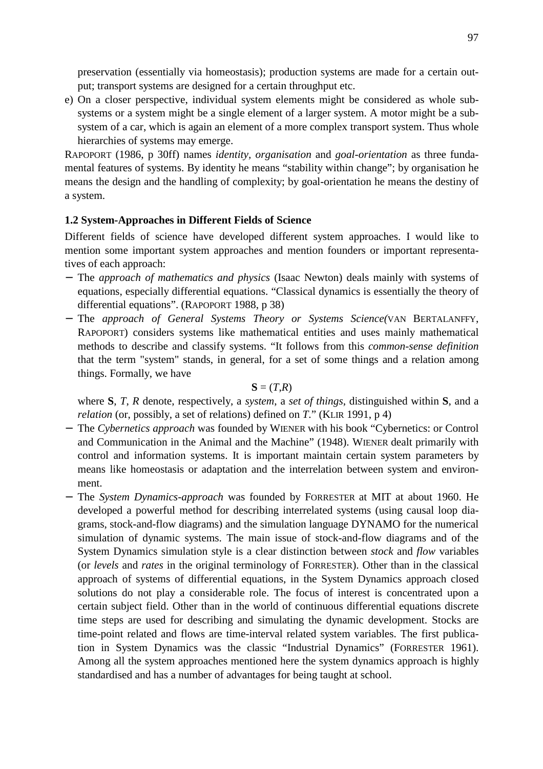preservation (essentially via homeostasis); production systems are made for a certain output; transport systems are designed for a certain throughput etc.

e) On a closer perspective, individual system elements might be considered as whole subsystems or a system might be a single element of a larger system. A motor might be a subsystem of a car, which is again an element of a more complex transport system. Thus whole hierarchies of systems may emerge.

RAPOPORT (1986, p 30ff) names *identity, organisation* and *goal-orientation* as three fundamental features of systems. By identity he means "stability within change"; by organisation he means the design and the handling of complexity; by goal-orientation he means the destiny of a system.

### **1.2 System-Approaches in Different Fields of Science**

Different fields of science have developed different system approaches. I would like to mention some important system approaches and mention founders or important representatives of each approach:

- − The *approach of mathematics and physics* (Isaac Newton) deals mainly with systems of equations, especially differential equations. "Classical dynamics is essentially the theory of differential equations". (RAPOPORT 1988, p 38)
- − The *approach of General Systems Theory or Systems Science(*VAN BERTALANFFY, RAPOPORT) considers systems like mathematical entities and uses mainly mathematical methods to describe and classify systems. "It follows from this *common-sense definition* that the term "system" stands, in general, for a set of some things and a relation among things. Formally, we have

### $S = (T,R)$

where **S**, *T*, *R* denote, respectively, a *system*, a *set of things*, distinguished within **S**, and a *relation* (or, possibly, a set of relations) defined on *T*." (KLIR 1991, p 4)

- − The *Cybernetics approach* was founded by WIENER with his book "Cybernetics: or Control and Communication in the Animal and the Machine" (1948). WIENER dealt primarily with control and information systems. It is important maintain certain system parameters by means like homeostasis or adaptation and the interrelation between system and environment.
- − The *System Dynamics-approach* was founded by FORRESTER at MIT at about 1960. He developed a powerful method for describing interrelated systems (using causal loop diagrams, stock-and-flow diagrams) and the simulation language DYNAMO for the numerical simulation of dynamic systems. The main issue of stock-and-flow diagrams and of the System Dynamics simulation style is a clear distinction between *stock* and *flow* variables (or *levels* and *rates* in the original terminology of FORRESTER). Other than in the classical approach of systems of differential equations, in the System Dynamics approach closed solutions do not play a considerable role. The focus of interest is concentrated upon a certain subject field. Other than in the world of continuous differential equations discrete time steps are used for describing and simulating the dynamic development. Stocks are time-point related and flows are time-interval related system variables. The first publication in System Dynamics was the classic "Industrial Dynamics" (FORRESTER 1961). Among all the system approaches mentioned here the system dynamics approach is highly standardised and has a number of advantages for being taught at school.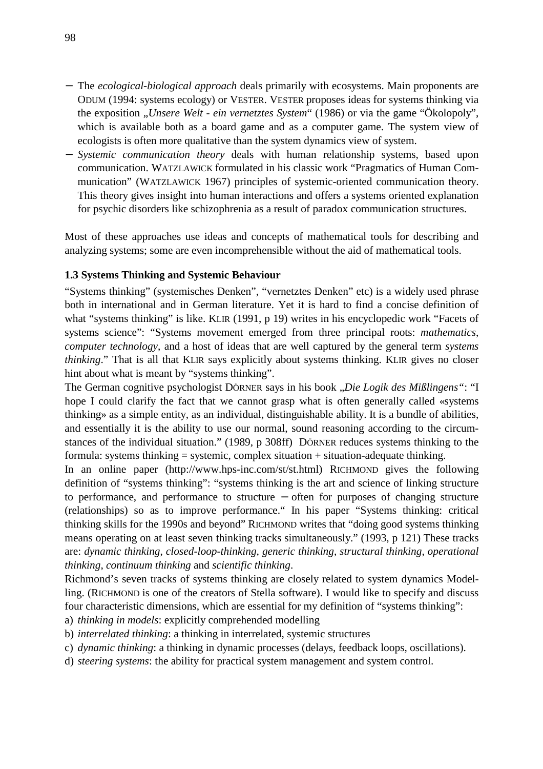- − The *ecological-biological approach* deals primarily with ecosystems. Main proponents are ODUM (1994: systems ecology) or VESTER. VESTER proposes ideas for systems thinking via the exposition "*Unsere Welt - ein vernetztes System*" (1986) or via the game "Ökolopoly", which is available both as a board game and as a computer game. The system view of ecologists is often more qualitative than the system dynamics view of system.
- − *Systemic communication theory* deals with human relationship systems, based upon communication. WATZLAWICK formulated in his classic work "Pragmatics of Human Communication" (WATZLAWICK 1967) principles of systemic-oriented communication theory. This theory gives insight into human interactions and offers a systems oriented explanation for psychic disorders like schizophrenia as a result of paradox communication structures.

Most of these approaches use ideas and concepts of mathematical tools for describing and analyzing systems; some are even incomprehensible without the aid of mathematical tools.

## **1.3 Systems Thinking and Systemic Behaviour**

"Systems thinking" (systemisches Denken", "vernetztes Denken" etc) is a widely used phrase both in international and in German literature. Yet it is hard to find a concise definition of what "systems thinking" is like. KLIR (1991, p 19) writes in his encyclopedic work "Facets of systems science": "Systems movement emerged from three principal roots: *mathematics*, *computer technology*, and a host of ideas that are well captured by the general term *systems thinking*." That is all that KLIR says explicitly about systems thinking. KLIR gives no closer hint about what is meant by "systems thinking".

The German cognitive psychologist DÖRNER says in his book "*Die Logik des Mißlingens"*: "I hope I could clarify the fact that we cannot grasp what is often generally called «systems thinking» as a simple entity, as an individual, distinguishable ability. It is a bundle of abilities, and essentially it is the ability to use our normal, sound reasoning according to the circumstances of the individual situation." (1989, p 308ff) DÖRNER reduces systems thinking to the formula: systems thinking = systemic, complex situation + situation-adequate thinking.

In an online paper (http://www.hps-inc.com/st/st.html) RICHMOND gives the following definition of "systems thinking": "systems thinking is the art and science of linking structure to performance, and performance to structure − often for purposes of changing structure (relationships) so as to improve performance." In his paper "Systems thinking: critical thinking skills for the 1990s and beyond" RICHMOND writes that "doing good systems thinking means operating on at least seven thinking tracks simultaneously." (1993, p 121) These tracks are: *dynamic thinking*, *closed-loop-thinking*, *generic thinking*, *structural thinking*, *operational thinking*, *continuum thinking* and *scientific thinking*.

Richmond's seven tracks of systems thinking are closely related to system dynamics Modelling. (RICHMOND is one of the creators of Stella software). I would like to specify and discuss four characteristic dimensions, which are essential for my definition of "systems thinking":

a) *thinking in models*: explicitly comprehended modelling

- b) *interrelated thinking*: a thinking in interrelated, systemic structures
- c) *dynamic thinking*: a thinking in dynamic processes (delays, feedback loops, oscillations).
- d) *steering systems*: the ability for practical system management and system control.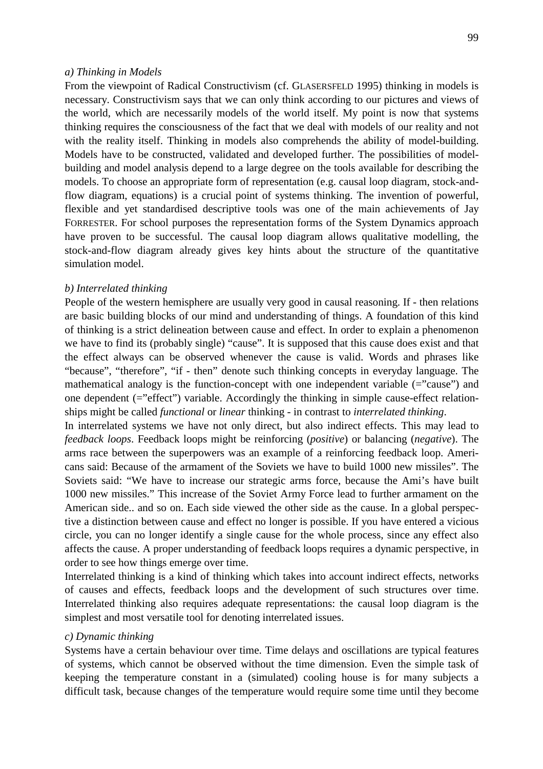#### *a) Thinking in Models*

From the viewpoint of Radical Constructivism (cf. GLASERSFELD 1995) thinking in models is necessary. Constructivism says that we can only think according to our pictures and views of the world, which are necessarily models of the world itself. My point is now that systems thinking requires the consciousness of the fact that we deal with models of our reality and not with the reality itself. Thinking in models also comprehends the ability of model-building. Models have to be constructed, validated and developed further. The possibilities of modelbuilding and model analysis depend to a large degree on the tools available for describing the models. To choose an appropriate form of representation (e.g. causal loop diagram, stock-andflow diagram, equations) is a crucial point of systems thinking. The invention of powerful, flexible and yet standardised descriptive tools was one of the main achievements of Jay FORRESTER. For school purposes the representation forms of the System Dynamics approach have proven to be successful. The causal loop diagram allows qualitative modelling, the stock-and-flow diagram already gives key hints about the structure of the quantitative simulation model.

#### *b) Interrelated thinking*

People of the western hemisphere are usually very good in causal reasoning. If - then relations are basic building blocks of our mind and understanding of things. A foundation of this kind of thinking is a strict delineation between cause and effect. In order to explain a phenomenon we have to find its (probably single) "cause". It is supposed that this cause does exist and that the effect always can be observed whenever the cause is valid. Words and phrases like "because", "therefore", "if - then" denote such thinking concepts in everyday language. The mathematical analogy is the function-concept with one independent variable  $(=$ "cause") and one dependent (="effect") variable. Accordingly the thinking in simple cause-effect relationships might be called *functional* or *linear* thinking - in contrast to *interrelated thinking*.

In interrelated systems we have not only direct, but also indirect effects. This may lead to *feedback loops*. Feedback loops might be reinforcing (*positive*) or balancing (*negative*). The arms race between the superpowers was an example of a reinforcing feedback loop. Americans said: Because of the armament of the Soviets we have to build 1000 new missiles". The Soviets said: "We have to increase our strategic arms force, because the Ami's have built 1000 new missiles." This increase of the Soviet Army Force lead to further armament on the American side.. and so on. Each side viewed the other side as the cause. In a global perspective a distinction between cause and effect no longer is possible. If you have entered a vicious circle, you can no longer identify a single cause for the whole process, since any effect also affects the cause. A proper understanding of feedback loops requires a dynamic perspective, in order to see how things emerge over time.

Interrelated thinking is a kind of thinking which takes into account indirect effects, networks of causes and effects, feedback loops and the development of such structures over time. Interrelated thinking also requires adequate representations: the causal loop diagram is the simplest and most versatile tool for denoting interrelated issues.

#### *c) Dynamic thinking*

Systems have a certain behaviour over time. Time delays and oscillations are typical features of systems, which cannot be observed without the time dimension. Even the simple task of keeping the temperature constant in a (simulated) cooling house is for many subjects a difficult task, because changes of the temperature would require some time until they become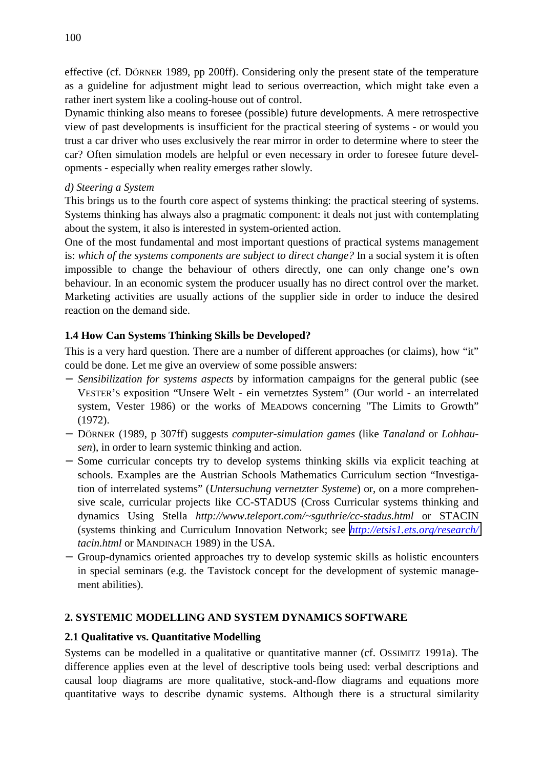effective (cf. DÖRNER 1989, pp 200ff). Considering only the present state of the temperature as a guideline for adjustment might lead to serious overreaction, which might take even a rather inert system like a cooling-house out of control.

Dynamic thinking also means to foresee (possible) future developments. A mere retrospective view of past developments is insufficient for the practical steering of systems - or would you trust a car driver who uses exclusively the rear mirror in order to determine where to steer the car? Often simulation models are helpful or even necessary in order to foresee future developments - especially when reality emerges rather slowly.

## *d) Steering a System*

This brings us to the fourth core aspect of systems thinking: the practical steering of systems. Systems thinking has always also a pragmatic component: it deals not just with contemplating about the system, it also is interested in system-oriented action.

One of the most fundamental and most important questions of practical systems management is: *which of the systems components are subject to direct change?* In a social system it is often impossible to change the behaviour of others directly, one can only change one's own behaviour. In an economic system the producer usually has no direct control over the market. Marketing activities are usually actions of the supplier side in order to induce the desired reaction on the demand side.

# **1.4 How Can Systems Thinking Skills be Developed?**

This is a very hard question. There are a number of different approaches (or claims), how "it" could be done. Let me give an overview of some possible answers:

- − *Sensibilization for systems aspects* by information campaigns for the general public (see VESTER'S exposition "Unsere Welt - ein vernetztes System" (Our world - an interrelated system, Vester 1986) or the works of MEADOWS concerning "The Limits to Growth" (1972).
- − DÖRNER (1989, p 307ff) suggests *computer-simulation games* (like *Tanaland* or *Lohhausen*), in order to learn systemic thinking and action.
- − Some curricular concepts try to develop systems thinking skills via explicit teaching at schools. Examples are the Austrian Schools Mathematics Curriculum section "Investigation of interrelated systems" (*Untersuchung vernetzter Systeme*) or, on a more comprehensive scale, curricular projects like CC-STADUS (Cross Curricular systems thinking and dynamics Using Stella *http://www.teleport.com/~sguthrie/cc-stadus.html* or STACIN (systems thinking and Curriculum Innovation Network; see *<http://etsis1.ets.org/research/> tacin.html* or MANDINACH 1989) in the USA.
- − Group-dynamics oriented approaches try to develop systemic skills as holistic encounters in special seminars (e.g. the Tavistock concept for the development of systemic management abilities).

# **2. SYSTEMIC MODELLING AND SYSTEM DYNAMICS SOFTWARE**

# **2.1 Qualitative vs. Quantitative Modelling**

Systems can be modelled in a qualitative or quantitative manner (cf. OSSIMITZ 1991a). The difference applies even at the level of descriptive tools being used: verbal descriptions and causal loop diagrams are more qualitative, stock-and-flow diagrams and equations more quantitative ways to describe dynamic systems. Although there is a structural similarity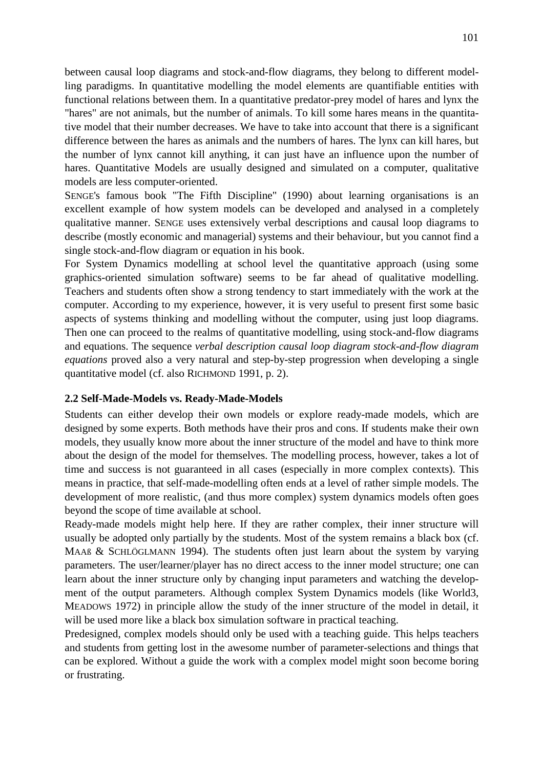between causal loop diagrams and stock-and-flow diagrams, they belong to different modelling paradigms. In quantitative modelling the model elements are quantifiable entities with functional relations between them. In a quantitative predator-prey model of hares and lynx the "hares" are not animals, but the number of animals. To kill some hares means in the quantitative model that their number decreases. We have to take into account that there is a significant difference between the hares as animals and the numbers of hares. The lynx can kill hares, but the number of lynx cannot kill anything, it can just have an influence upon the number of hares. Quantitative Models are usually designed and simulated on a computer, qualitative models are less computer-oriented.

SENGE's famous book "The Fifth Discipline" (1990) about learning organisations is an excellent example of how system models can be developed and analysed in a completely qualitative manner. SENGE uses extensively verbal descriptions and causal loop diagrams to describe (mostly economic and managerial) systems and their behaviour, but you cannot find a single stock-and-flow diagram or equation in his book.

For System Dynamics modelling at school level the quantitative approach (using some graphics-oriented simulation software) seems to be far ahead of qualitative modelling. Teachers and students often show a strong tendency to start immediately with the work at the computer. According to my experience, however, it is very useful to present first some basic aspects of systems thinking and modelling without the computer, using just loop diagrams. Then one can proceed to the realms of quantitative modelling, using stock-and-flow diagrams and equations. The sequence *verbal description causal loop diagram stock-and-flow diagram equations* proved also a very natural and step-by-step progression when developing a single quantitative model (cf. also RICHMOND 1991, p. 2).

## **2.2 Self-Made-Models vs. Ready-Made-Models**

Students can either develop their own models or explore ready-made models, which are designed by some experts. Both methods have their pros and cons. If students make their own models, they usually know more about the inner structure of the model and have to think more about the design of the model for themselves. The modelling process, however, takes a lot of time and success is not guaranteed in all cases (especially in more complex contexts). This means in practice, that self-made-modelling often ends at a level of rather simple models. The development of more realistic, (and thus more complex) system dynamics models often goes beyond the scope of time available at school.

Ready-made models might help here. If they are rather complex, their inner structure will usually be adopted only partially by the students. Most of the system remains a black box (cf. MAAß & SCHLÖGLMANN 1994). The students often just learn about the system by varying parameters. The user/learner/player has no direct access to the inner model structure; one can learn about the inner structure only by changing input parameters and watching the development of the output parameters. Although complex System Dynamics models (like World3, MEADOWS 1972) in principle allow the study of the inner structure of the model in detail, it will be used more like a black box simulation software in practical teaching.

Predesigned, complex models should only be used with a teaching guide. This helps teachers and students from getting lost in the awesome number of parameter-selections and things that can be explored. Without a guide the work with a complex model might soon become boring or frustrating.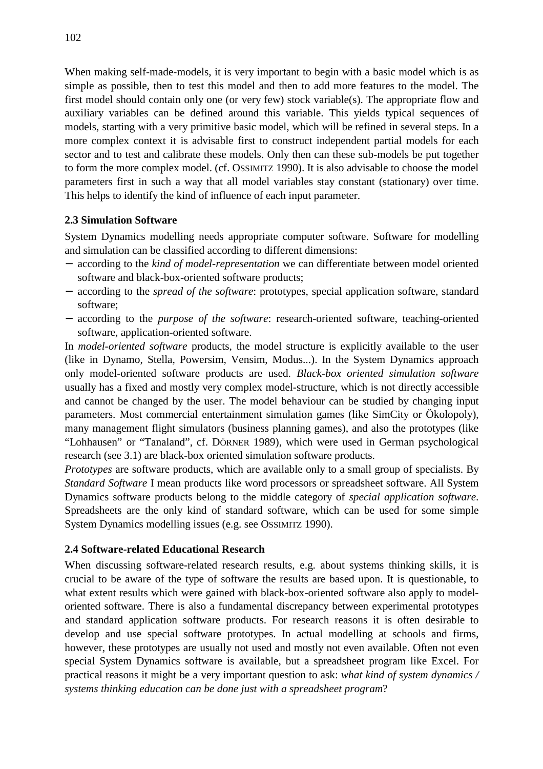When making self-made-models, it is very important to begin with a basic model which is as simple as possible, then to test this model and then to add more features to the model. The first model should contain only one (or very few) stock variable(s). The appropriate flow and auxiliary variables can be defined around this variable. This yields typical sequences of models, starting with a very primitive basic model, which will be refined in several steps. In a more complex context it is advisable first to construct independent partial models for each sector and to test and calibrate these models. Only then can these sub-models be put together to form the more complex model. (cf. OSSIMITZ 1990). It is also advisable to choose the model parameters first in such a way that all model variables stay constant (stationary) over time. This helps to identify the kind of influence of each input parameter.

## **2.3 Simulation Software**

System Dynamics modelling needs appropriate computer software. Software for modelling and simulation can be classified according to different dimensions:

- − according to the *kind of model-representation* we can differentiate between model oriented software and black-box-oriented software products;
- − according to the *spread of the software*: prototypes, special application software, standard software;
- − according to the *purpose of the software*: research-oriented software, teaching-oriented software, application-oriented software.

In *model-oriented software* products, the model structure is explicitly available to the user (like in Dynamo, Stella, Powersim, Vensim, Modus...). In the System Dynamics approach only model-oriented software products are used. *Black-box oriented simulation software* usually has a fixed and mostly very complex model-structure, which is not directly accessible and cannot be changed by the user. The model behaviour can be studied by changing input parameters. Most commercial entertainment simulation games (like SimCity or Ökolopoly), many management flight simulators (business planning games), and also the prototypes (like "Lohhausen" or "Tanaland", cf. DÖRNER 1989), which were used in German psychological research (see 3.1) are black-box oriented simulation software products.

*Prototypes* are software products, which are available only to a small group of specialists. By *Standard Software* I mean products like word processors or spreadsheet software. All System Dynamics software products belong to the middle category of *special application software*. Spreadsheets are the only kind of standard software, which can be used for some simple System Dynamics modelling issues (e.g. see OSSIMITZ 1990).

## **2.4 Software-related Educational Research**

When discussing software-related research results, e.g. about systems thinking skills, it is crucial to be aware of the type of software the results are based upon. It is questionable, to what extent results which were gained with black-box-oriented software also apply to modeloriented software. There is also a fundamental discrepancy between experimental prototypes and standard application software products. For research reasons it is often desirable to develop and use special software prototypes. In actual modelling at schools and firms, however, these prototypes are usually not used and mostly not even available. Often not even special System Dynamics software is available, but a spreadsheet program like Excel. For practical reasons it might be a very important question to ask: *what kind of system dynamics / systems thinking education can be done just with a spreadsheet program*?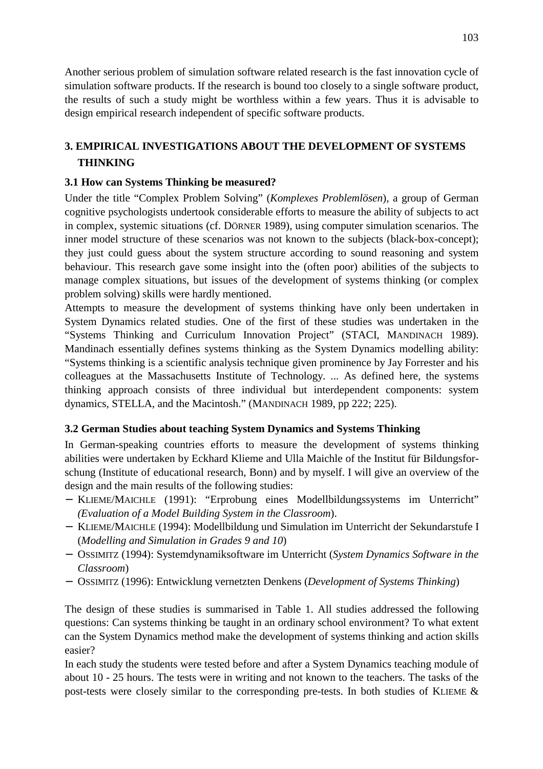Another serious problem of simulation software related research is the fast innovation cycle of simulation software products. If the research is bound too closely to a single software product, the results of such a study might be worthless within a few years. Thus it is advisable to design empirical research independent of specific software products.

# **3. EMPIRICAL INVESTIGATIONS ABOUT THE DEVELOPMENT OF SYSTEMS THINKING**

# **3.1 How can Systems Thinking be measured?**

Under the title "Complex Problem Solving" (*Komplexes Problemlösen*), a group of German cognitive psychologists undertook considerable efforts to measure the ability of subjects to act in complex, systemic situations (cf. DÖRNER 1989), using computer simulation scenarios. The inner model structure of these scenarios was not known to the subjects (black-box-concept); they just could guess about the system structure according to sound reasoning and system behaviour. This research gave some insight into the (often poor) abilities of the subjects to manage complex situations, but issues of the development of systems thinking (or complex problem solving) skills were hardly mentioned.

Attempts to measure the development of systems thinking have only been undertaken in System Dynamics related studies. One of the first of these studies was undertaken in the "Systems Thinking and Curriculum Innovation Project" (STACI, MANDINACH 1989). Mandinach essentially defines systems thinking as the System Dynamics modelling ability: "Systems thinking is a scientific analysis technique given prominence by Jay Forrester and his colleagues at the Massachusetts Institute of Technology. ... As defined here, the systems thinking approach consists of three individual but interdependent components: system dynamics, STELLA, and the Macintosh." (MANDINACH 1989, pp 222; 225).

## **3.2 German Studies about teaching System Dynamics and Systems Thinking**

In German-speaking countries efforts to measure the development of systems thinking abilities were undertaken by Eckhard Klieme and Ulla Maichle of the Institut für Bildungsforschung (Institute of educational research, Bonn) and by myself. I will give an overview of the design and the main results of the following studies:

- − KLIEME/MAICHLE (1991): "Erprobung eines Modellbildungssystems im Unterricht" *(Evaluation of a Model Building System in the Classroom*).
- − KLIEME/MAICHLE (1994): Modellbildung und Simulation im Unterricht der Sekundarstufe I (*Modelling and Simulation in Grades 9 and 10*)
- − OSSIMITZ (1994): Systemdynamiksoftware im Unterricht (*System Dynamics Software in the Classroom*)
- − OSSIMITZ (1996): Entwicklung vernetzten Denkens (*Development of Systems Thinking*)

The design of these studies is summarised in Table 1. All studies addressed the following questions: Can systems thinking be taught in an ordinary school environment? To what extent can the System Dynamics method make the development of systems thinking and action skills easier?

In each study the students were tested before and after a System Dynamics teaching module of about 10 - 25 hours. The tests were in writing and not known to the teachers. The tasks of the post-tests were closely similar to the corresponding pre-tests. In both studies of KLIEME &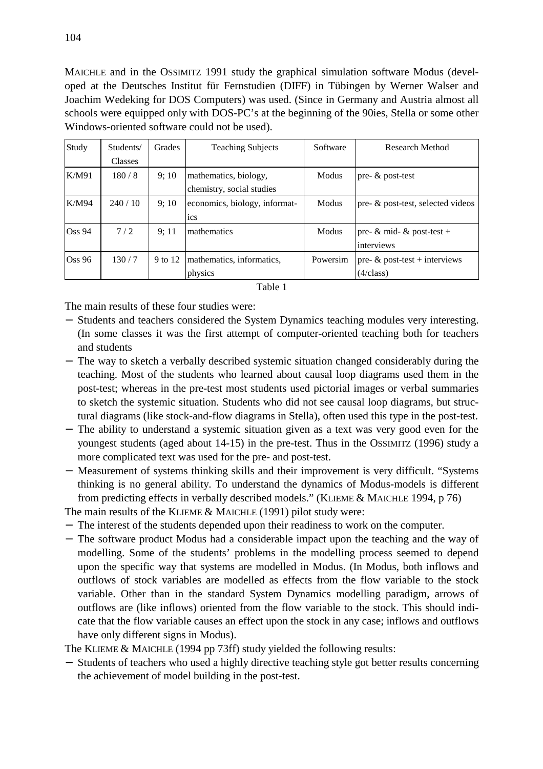MAICHLE and in the OSSIMITZ 1991 study the graphical simulation software Modus (developed at the Deutsches Institut für Fernstudien (DIFF) in Tübingen by Werner Walser and Joachim Wedeking for DOS Computers) was used. (Since in Germany and Austria almost all schools were equipped only with DOS-PC's at the beginning of the 90ies, Stella or some other Windows-oriented software could not be used).

| Study     | Students/      | Grades  | <b>Teaching Subjects</b>      | Software | <b>Research Method</b>               |
|-----------|----------------|---------|-------------------------------|----------|--------------------------------------|
|           | <b>Classes</b> |         |                               |          |                                      |
| K/M91     | 180/8          | 9:10    | mathematics, biology,         | Modus    | pre- & post-test                     |
|           |                |         | chemistry, social studies     |          |                                      |
| K/M94     | 240/10         | 9:10    | economics, biology, informat- | Modus    | pre- $\&$ post-test, selected videos |
|           |                |         | <sub>ics</sub>                |          |                                      |
| Oss 94    | 7/2            | 9:11    | Imathematics                  | Modus    | pre- $\&$ mid- $\&$ post-test +      |
|           |                |         |                               |          | interviews                           |
| $\cos 96$ | 130/7          | 9 to 12 | mathematics, informatics,     | Powersim | pre- $\&$ post-test + interviews     |
|           |                |         | physics                       |          | (4/class)                            |

| Н<br>1 |  |
|--------|--|
|--------|--|

The main results of these four studies were:

- − Students and teachers considered the System Dynamics teaching modules very interesting. (In some classes it was the first attempt of computer-oriented teaching both for teachers and students
- − The way to sketch a verbally described systemic situation changed considerably during the teaching. Most of the students who learned about causal loop diagrams used them in the post-test; whereas in the pre-test most students used pictorial images or verbal summaries to sketch the systemic situation. Students who did not see causal loop diagrams, but structural diagrams (like stock-and-flow diagrams in Stella), often used this type in the post-test.
- − The ability to understand a systemic situation given as a text was very good even for the youngest students (aged about 14-15) in the pre-test. Thus in the OSSIMITZ (1996) study a more complicated text was used for the pre- and post-test.
- − Measurement of systems thinking skills and their improvement is very difficult. "Systems thinking is no general ability. To understand the dynamics of Modus-models is different from predicting effects in verbally described models." (KLIEME & MAICHLE 1994, p 76)

The main results of the KLIEME & MAICHLE (1991) pilot study were:

- − The interest of the students depended upon their readiness to work on the computer.
- − The software product Modus had a considerable impact upon the teaching and the way of modelling. Some of the students' problems in the modelling process seemed to depend upon the specific way that systems are modelled in Modus. (In Modus, both inflows and outflows of stock variables are modelled as effects from the flow variable to the stock variable. Other than in the standard System Dynamics modelling paradigm, arrows of outflows are (like inflows) oriented from the flow variable to the stock. This should indicate that the flow variable causes an effect upon the stock in any case; inflows and outflows have only different signs in Modus).

The KLIEME & MAICHLE (1994 pp 73ff) study yielded the following results:

− Students of teachers who used a highly directive teaching style got better results concerning the achievement of model building in the post-test.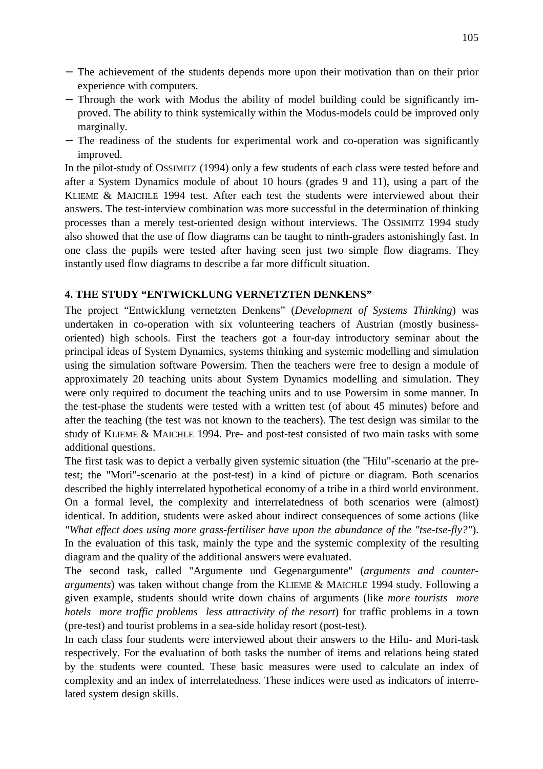- − The achievement of the students depends more upon their motivation than on their prior experience with computers.
- − Through the work with Modus the ability of model building could be significantly improved. The ability to think systemically within the Modus-models could be improved only marginally.
- − The readiness of the students for experimental work and co-operation was significantly improved.

In the pilot-study of OSSIMITZ (1994) only a few students of each class were tested before and after a System Dynamics module of about 10 hours (grades 9 and 11), using a part of the KLIEME & MAICHLE 1994 test. After each test the students were interviewed about their answers. The test-interview combination was more successful in the determination of thinking processes than a merely test-oriented design without interviews. The OSSIMITZ 1994 study also showed that the use of flow diagrams can be taught to ninth-graders astonishingly fast. In one class the pupils were tested after having seen just two simple flow diagrams. They instantly used flow diagrams to describe a far more difficult situation.

## **4. THE STUDY "ENTWICKLUNG VERNETZTEN DENKENS"**

The project "Entwicklung vernetzten Denkens" (*Development of Systems Thinking*) was undertaken in co-operation with six volunteering teachers of Austrian (mostly businessoriented) high schools. First the teachers got a four-day introductory seminar about the principal ideas of System Dynamics, systems thinking and systemic modelling and simulation using the simulation software Powersim. Then the teachers were free to design a module of approximately 20 teaching units about System Dynamics modelling and simulation. They were only required to document the teaching units and to use Powersim in some manner. In the test-phase the students were tested with a written test (of about 45 minutes) before and after the teaching (the test was not known to the teachers). The test design was similar to the study of KLIEME & MAICHLE 1994. Pre- and post-test consisted of two main tasks with some additional questions.

The first task was to depict a verbally given systemic situation (the "Hilu"-scenario at the pretest; the "Mori"-scenario at the post-test) in a kind of picture or diagram. Both scenarios described the highly interrelated hypothetical economy of a tribe in a third world environment. On a formal level, the complexity and interrelatedness of both scenarios were (almost) identical. In addition, students were asked about indirect consequences of some actions (like *"What effect does using more grass-fertiliser have upon the abundance of the "tse-tse-fly?"*). In the evaluation of this task, mainly the type and the systemic complexity of the resulting diagram and the quality of the additional answers were evaluated.

The second task, called "Argumente und Gegenargumente" (*arguments and counterarguments*) was taken without change from the KLIEME & MAICHLE 1994 study. Following a given example, students should write down chains of arguments (like *more tourists more hotels more traffic problems less attractivity of the resort*) for traffic problems in a town (pre-test) and tourist problems in a sea-side holiday resort (post-test).

In each class four students were interviewed about their answers to the Hilu- and Mori-task respectively. For the evaluation of both tasks the number of items and relations being stated by the students were counted. These basic measures were used to calculate an index of complexity and an index of interrelatedness. These indices were used as indicators of interrelated system design skills.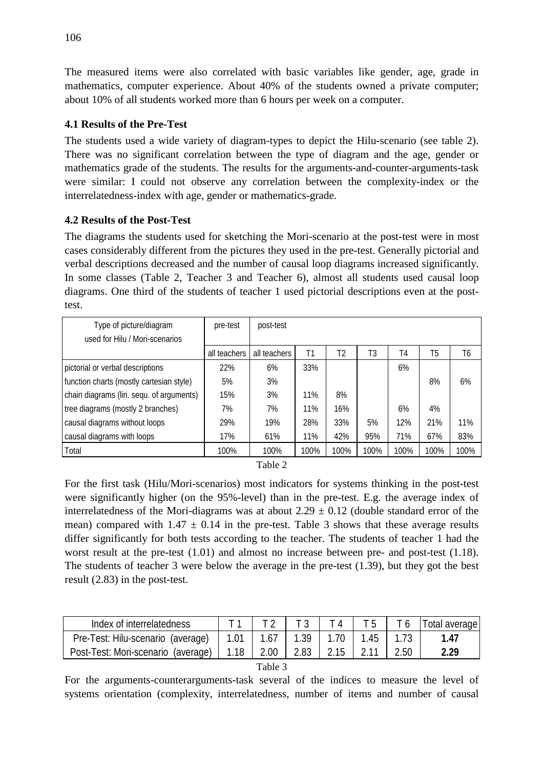The measured items were also correlated with basic variables like gender, age, grade in mathematics, computer experience. About 40% of the students owned a private computer; about 10% of all students worked more than 6 hours per week on a computer.

# **4.1 Results of the Pre-Test**

The students used a wide variety of diagram-types to depict the Hilu-scenario (see table 2). There was no significant correlation between the type of diagram and the age, gender or mathematics grade of the students. The results for the arguments-and-counter-arguments-task were similar: I could not observe any correlation between the complexity-index or the interrelatedness-index with age, gender or mathematics-grade.

## **4.2 Results of the Post-Test**

The diagrams the students used for sketching the Mori-scenario at the post-test were in most cases considerably different from the pictures they used in the pre-test. Generally pictorial and verbal descriptions decreased and the number of causal loop diagrams increased significantly. In some classes (Table 2, Teacher 3 and Teacher 6), almost all students used causal loop diagrams. One third of the students of teacher 1 used pictorial descriptions even at the posttest.

| Type of picture/diagram                  | pre-test     | post-test    |      |                |                |      |      |      |
|------------------------------------------|--------------|--------------|------|----------------|----------------|------|------|------|
| used for Hilu / Mori-scenarios           |              |              |      |                |                |      |      |      |
|                                          | all teachers | all teachers | Τ1   | T <sub>2</sub> | T <sub>3</sub> | T4   | T5   | T6   |
| pictorial or verbal descriptions         | 22%          | 6%           | 33%  |                |                | 6%   |      |      |
| function charts (mostly cartesian style) | 5%           | 3%           |      |                |                |      | 8%   | 6%   |
| chain diagrams (lin. sequ. of arguments) | 15%          | 3%           | 11%  | 8%             |                |      |      |      |
| tree diagrams (mostly 2 branches)        | 7%           | 7%           | 11%  | 16%            |                | 6%   | 4%   |      |
| causal diagrams without loops            | 29%          | 19%          | 28%  | 33%            | 5%             | 12%  | 21%  | 11%  |
| causal diagrams with loops               | 17%          | 61%          | 11%  | 42%            | 95%            | 71%  | 67%  | 83%  |
| Total                                    | 100%         | 100%         | 100% | 100%           | 100%           | 100% | 100% | 100% |
|                                          |              |              |      |                |                |      |      |      |

| DI<br>. . |  |
|-----------|--|
|           |  |

For the first task (Hilu/Mori-scenarios) most indicators for systems thinking in the post-test were significantly higher (on the 95%-level) than in the pre-test. E.g. the average index of interrelatedness of the Mori-diagrams was at about  $2.29 \pm 0.12$  (double standard error of the mean) compared with  $1.47 \pm 0.14$  in the pre-test. Table 3 shows that these average results differ significantly for both tests according to the teacher. The students of teacher 1 had the worst result at the pre-test (1.01) and almost no increase between pre- and post-test (1.18). The students of teacher 3 were below the average in the pre-test (1.39), but they got the best result (2.83) in the post-test.

| Index of interrelatedness                                     |                 |      |      | <b>Total average</b> |
|---------------------------------------------------------------|-----------------|------|------|----------------------|
| Pre-Test: Hilu-scenario (average)   1.01   1.67   1.39   1.70 |                 |      | 1.45 | 1 47                 |
| Post-Test: Mori-scenario (average)                            | $1.18$   $2.00$ | 2.83 |      | 2.29                 |

| וו<br>г<br>٠. |  |
|---------------|--|
|---------------|--|

For the arguments-counterarguments-task several of the indices to measure the level of systems orientation (complexity, interrelatedness, number of items and number of causal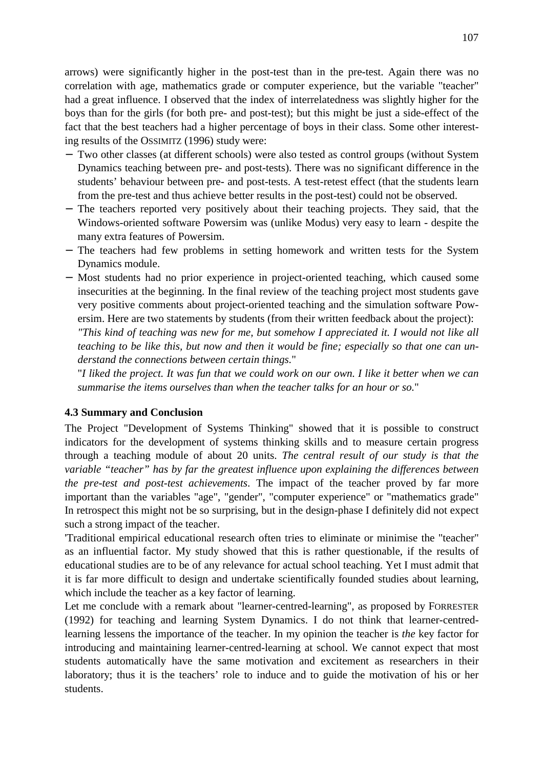arrows) were significantly higher in the post-test than in the pre-test. Again there was no correlation with age, mathematics grade or computer experience, but the variable "teacher" had a great influence. I observed that the index of interrelatedness was slightly higher for the boys than for the girls (for both pre- and post-test); but this might be just a side-effect of the fact that the best teachers had a higher percentage of boys in their class. Some other interesting results of the OSSIMITZ (1996) study were:

- − Two other classes (at different schools) were also tested as control groups (without System Dynamics teaching between pre- and post-tests). There was no significant difference in the students' behaviour between pre- and post-tests. A test-retest effect (that the students learn from the pre-test and thus achieve better results in the post-test) could not be observed.
- − The teachers reported very positively about their teaching projects. They said, that the Windows-oriented software Powersim was (unlike Modus) very easy to learn - despite the many extra features of Powersim.
- − The teachers had few problems in setting homework and written tests for the System Dynamics module.
- − Most students had no prior experience in project-oriented teaching, which caused some insecurities at the beginning. In the final review of the teaching project most students gave very positive comments about project-oriented teaching and the simulation software Powersim. Here are two statements by students (from their written feedback about the project): *"This kind of teaching was new for me, but somehow I appreciated it. I would not like all teaching to be like this, but now and then it would be fine; especially so that one can un-*

*derstand the connections between certain things.*"

"*I liked the project. It was fun that we could work on our own. I like it better when we can summarise the items ourselves than when the teacher talks for an hour or so.*"

## **4.3 Summary and Conclusion**

The Project "Development of Systems Thinking" showed that it is possible to construct indicators for the development of systems thinking skills and to measure certain progress through a teaching module of about 20 units. *The central result of our study is that the variable "teacher" has by far the greatest influence upon explaining the differences between the pre-test and post-test achievements*. The impact of the teacher proved by far more important than the variables "age", "gender", "computer experience" or "mathematics grade" In retrospect this might not be so surprising, but in the design-phase I definitely did not expect such a strong impact of the teacher.

'Traditional empirical educational research often tries to eliminate or minimise the "teacher" as an influential factor. My study showed that this is rather questionable, if the results of educational studies are to be of any relevance for actual school teaching. Yet I must admit that it is far more difficult to design and undertake scientifically founded studies about learning, which include the teacher as a key factor of learning.

Let me conclude with a remark about "learner-centred-learning", as proposed by FORRESTER (1992) for teaching and learning System Dynamics. I do not think that learner-centredlearning lessens the importance of the teacher. In my opinion the teacher is *the* key factor for introducing and maintaining learner-centred-learning at school. We cannot expect that most students automatically have the same motivation and excitement as researchers in their laboratory; thus it is the teachers' role to induce and to guide the motivation of his or her students.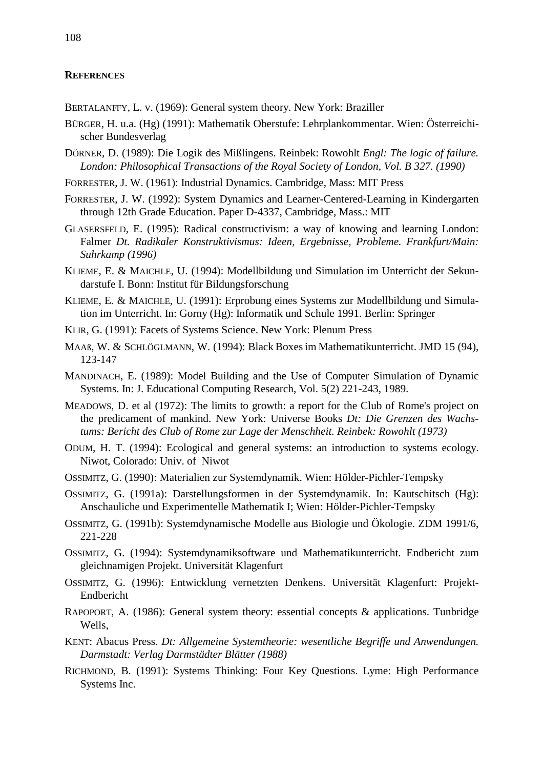### **REFERENCES**

BERTALANFFY, L. v. (1969): General system theory. New York: Braziller

- BÜRGER, H. u.a. (Hg) (1991): Mathematik Oberstufe: Lehrplankommentar. Wien: Österreichischer Bundesverlag
- DÖRNER, D. (1989): Die Logik des Mißlingens. Reinbek: Rowohlt *Engl: The logic of failure. London: Philosophical Transactions of the Royal Society of London, Vol. B 327. (1990)*
- FORRESTER, J. W. (1961): Industrial Dynamics. Cambridge, Mass: MIT Press
- FORRESTER, J. W. (1992): System Dynamics and Learner-Centered-Learning in Kindergarten through 12th Grade Education. Paper D-4337, Cambridge, Mass.: MIT
- GLASERSFELD, E. (1995): Radical constructivism: a way of knowing and learning London: Falmer *Dt. Radikaler Konstruktivismus: Ideen, Ergebnisse, Probleme. Frankfurt/Main: Suhrkamp (1996)*
- KLIEME, E. & MAICHLE, U. (1994): Modellbildung und Simulation im Unterricht der Sekundarstufe I. Bonn: Institut für Bildungsforschung
- KLIEME, E. & MAICHLE, U. (1991): Erprobung eines Systems zur Modellbildung und Simulation im Unterricht. In: Gorny (Hg): Informatik und Schule 1991. Berlin: Springer
- KLIR, G. (1991): Facets of Systems Science. New York: Plenum Press
- MAAß, W. & SCHLÖGLMANN, W. (1994): Black Boxesim Mathematikunterricht. JMD 15 (94), 123-147
- MANDINACH, E. (1989): Model Building and the Use of Computer Simulation of Dynamic Systems. In: J. Educational Computing Research, Vol. 5(2) 221-243, 1989.
- MEADOWS, D. et al (1972): The limits to growth: a report for the Club of Rome's project on the predicament of mankind. New York: Universe Books *Dt: Die Grenzen des Wachstums: Bericht des Club of Rome zur Lage der Menschheit. Reinbek: Rowohlt (1973)*
- ODUM, H. T. (1994): Ecological and general systems: an introduction to systems ecology. Niwot, Colorado: Univ. of Niwot
- OSSIMITZ, G. (1990): Materialien zur Systemdynamik. Wien: Hölder-Pichler-Tempsky
- OSSIMITZ, G. (1991a): Darstellungsformen in der Systemdynamik. In: Kautschitsch (Hg): Anschauliche und Experimentelle Mathematik I; Wien: Hölder-Pichler-Tempsky
- OSSIMITZ, G. (1991b): Systemdynamische Modelle aus Biologie und Ökologie. ZDM 1991/6, 221-228
- OSSIMITZ, G. (1994): Systemdynamiksoftware und Mathematikunterricht. Endbericht zum gleichnamigen Projekt. Universität Klagenfurt
- OSSIMITZ, G. (1996): Entwicklung vernetzten Denkens. Universität Klagenfurt: Projekt-Endbericht
- RAPOPORT, A. (1986): General system theory: essential concepts & applications. Tunbridge Wells,
- KENT: Abacus Press. *Dt: Allgemeine Systemtheorie: wesentliche Begriffe und Anwendungen. Darmstadt: Verlag Darmstädter Blätter (1988)*
- RICHMOND, B. (1991): Systems Thinking: Four Key Questions. Lyme: High Performance Systems Inc.